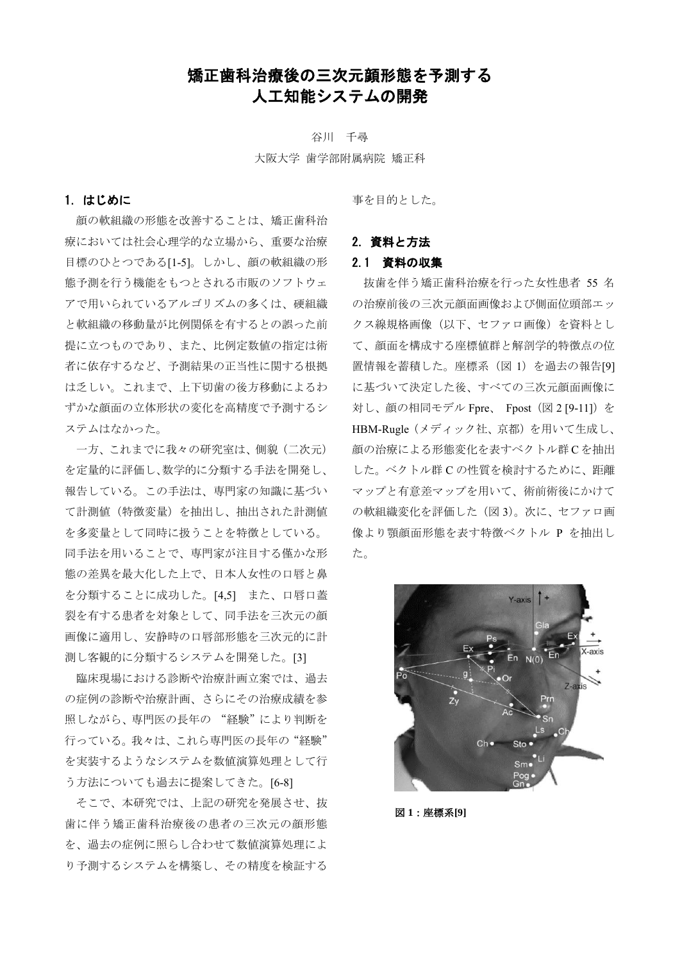# 矯正歯科治療後の三次元顔形態を予測する 人工知能システムの開発

谷川 千尋 大阪大学 歯学部附属病院 矯正科

## 1.はじめに

顔の軟組織の形態を改善することは、矯正歯科治 療においては社会心理学的な立場から、重要な治療 目標のひとつである[1-5]。しかし、顔の軟組織の形 態予測を行う機能をもつとされる市販のソフトウェ アで用いられているアルゴリズムの多くは、硬組織 と軟組織の移動量が比例関係を有するとの誤った前 提に立つものであり、また、比例定数値の指定は術 者に依存するなど、予測結果の正当性に関する根拠 は乏しい。これまで、上下切歯の後方移動によるわ ずかな顔面の立体形状の変化を高精度で予測するシ ステムはなかった。

一方、これまでに我々の研究室は、側貌(二次元) を定量的に評価し、数学的に分類する手法を開発し、 報告している。この手法は、専門家の知識に基づい て計測値(特徴変量)を抽出し、抽出された計測値 を多変量として同時に扱うことを特徴としている。 同手法を用いることで、専門家が注目する僅かな形 態の差異を最大化した上で、日本人女性の口唇と鼻 を分類することに成功した。[4,5] また、口唇口蓋 裂を有する患者を対象として、同手法を三次元の顔 画像に適用し、安静時の口唇部形態を三次元的に計 測し客観的に分類するシステムを開発した。[3]

臨床現場における診断や治療計画立案では、過去 の症例の診断や治療計画、さらにその治療成績を参 照しながら、専門医の長年の "経験"により判断を 行っている。我々は、これら専門医の長年の"経験" を実装するようなシステムを数値演算処理として行 う方法についても過去に提案してきた。[6-8]

そこで、本研究では、上記の研究を発展させ、抜 歯に伴う矯正歯科治療後の患者の三次元の顔形態 を、過去の症例に照らし合わせて数値演算処理によ り予測するシステムを構築し、その精度を検証する

事を目的とした。

## 2.資料と方法

## 2.1 資料の収集

抜歯を伴う矯正歯科治療を行った女性患者 55 名 の治療前後の三次元顔面画像および側面位頭部エッ クス線規格画像(以下、セファロ画像)を資料とし て、顔面を構成する座標値群と解剖学的特徴点の位 置情報を蓄積した。座標系(図 1)を過去の報告[9] に基づいて決定した後、すべての三次元顔面画像に 対し、顔の相同モデル Fpre、 Fpost (図 2 [9-11]) を HBM-Rugle(メディック社、京都)を用いて生成し、 顔の治療による形態変化を表すベクトル群 C を抽出 した。ベクトル群 C の性質を検討するために、距離 マップと有意差マップを用いて、術前術後にかけて の軟組織変化を評価した(図 3)。次に、セファロ画 像より顎顔面形態を表す特徴ベクトル P を抽出し た。



図 **1**:座標系**[9]**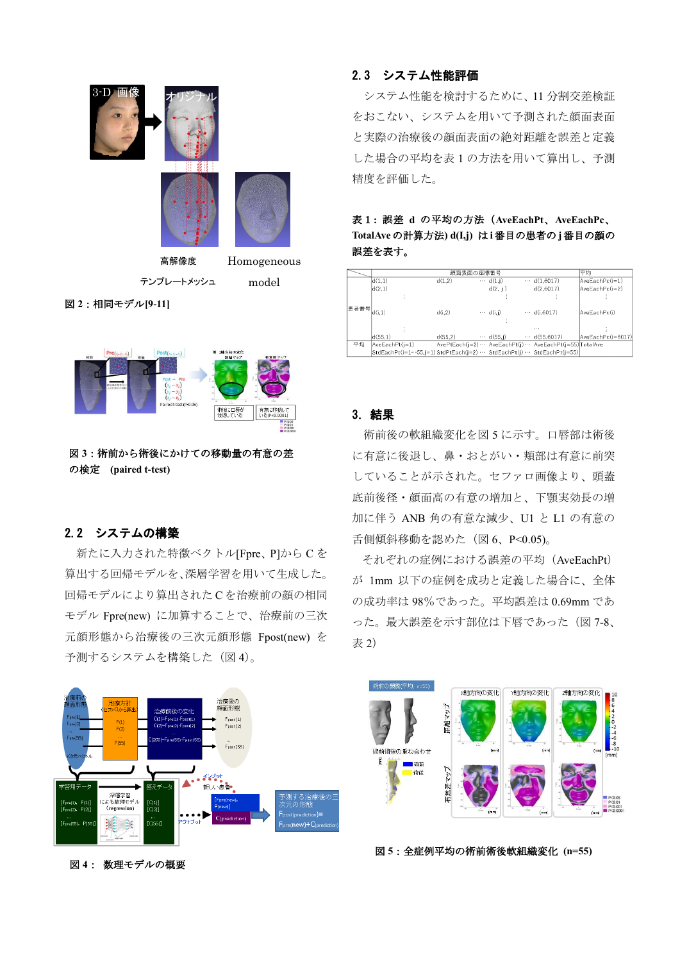

テンプレートメッシュ

model

図 **2**:相同モデル**[9-11]**



図 **3**:術前から術後にかけての移動量の有意の差 の検定 **(paired t-test)**

## 2.2 システムの構築

新たに入力された特徴ベクトル[Fpre、P]から C を 算出する回帰モデルを、深層学習を用いて生成した。 回帰モデルにより算出された C を治療前の顔の相同 モデル Fpre(new) に加算することで、治療前の三次 元顔形態から治療後の三次元顔形態 Fpost(new) を 予測するシステムを構築した (図 4)。



図 **4**: 数理モデルの概要

## 2.3 システム性能評価

システム性能を検討するために、11 分割交差検証 をおこない、システムを用いて予測された顔面表面 と実際の治療後の顔面表面の絶対距離を誤差と定義 した場合の平均を表 1 の方法を用いて算出し、予測 精度を評価した。

表1**:** 誤差 **d** の平均の方法(**AveEachPt**、**AveEachPc**、 **TotalAve** の計算方法**) d(I,j)** は **i**番目の患者の **j**番目の顔の 誤差を表す。

|             |                                                                       | 顔面表面の座標番号 |                  |                                                                  |                   |
|-------------|-----------------------------------------------------------------------|-----------|------------------|------------------------------------------------------------------|-------------------|
|             |                                                                       | 平均        |                  |                                                                  |                   |
| 患者番号 d(i,1) | d(1.1)                                                                | d(1.2)    | $\cdots$ d(1,i)  | $\cdots$ d(1.6017)                                               | AveEachPc(i=1)    |
|             | d(2,1)                                                                |           | d(2, i)          | d(2,6017)                                                        | AveEachPc(i=2)    |
|             |                                                                       |           |                  |                                                                  |                   |
|             |                                                                       |           |                  |                                                                  |                   |
|             |                                                                       | d(i,2)    | $\cdots$ d(i,j)  | $- d(i.6017)$                                                    | AveEachPc(i)      |
|             |                                                                       |           |                  |                                                                  |                   |
|             |                                                                       |           |                  | $\cdots$                                                         |                   |
|             | d(55.1)                                                               | d(55.2)   | $\cdots$ d(55.i) | $\cdots$ d(55,6017)                                              | AveEachPc(i=6017) |
| 平均          | $AveEachPt(i=1)$                                                      |           |                  | AvePtEach(j=2) · · · AveEachPt(j) · · · AveEachPt(j=55) TotalAve |                   |
|             | StdEachPt(i=1…55.j=1) StdPtEach(j=2) … StdEachPt(j) … StdEachPt(j=55) |           |                  |                                                                  |                   |
|             |                                                                       |           |                  |                                                                  |                   |

#### 3.結果

術前後の軟組織変化を図 5 に示す。口唇部は術後 に有意に後退し、鼻・おとがい・頬部は有意に前突 していることが示された。セファロ画像より、頭蓋 底前後径・顔面高の有意の増加と、下顎実効長の増 加に伴う ANB 角の有意な減少、U1 と L1 の有意の 舌側傾斜移動を認めた (図 6、P<0.05)。

それぞれの症例における誤差の平均(AveEachPt) が 1mm 以下の症例を成功と定義した場合に、全体 の成功率は 98%であった。平均誤差は 0.69mm であ った。最大誤差を示す部位は下唇であった(図 7-8、 表 2)



図 **5**:全症例平均の術前術後軟組織変化 **(n=55)**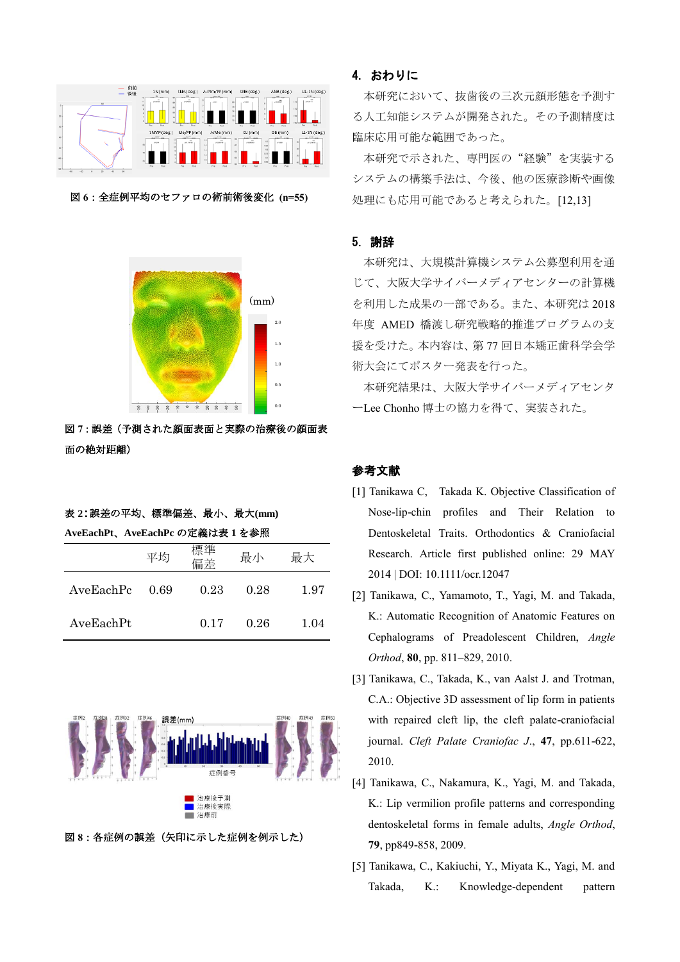

図 **6**:全症例平均のセファロの術前術後変化 **(n=55)**



図 **7**:誤差(予測された顔面表面と実際の治療後の顔面表 面の絶対距離)

#### 表 **2**:誤差の平均、標準偏差、最小、最大**(mm)**

**AveEachPt**、**AveEachPc** の定義は表 **1** を参照

|           | 平均     | 標準<br>偏差 | 最小   | 最大   |
|-----------|--------|----------|------|------|
| AveEachPc | - 0.69 | 0.23     | 0.28 | 1.97 |
| AveEachPt |        | 0.17     | 0.26 | 1.04 |



図 **8**:各症例の誤差(矢印に示した症例を例示した)

#### 4. おわりに

本研究において、抜歯後の三次元顔形態を予測す る人工知能システムが開発された。その予測精度は 臨床応用可能な範囲であった。

本研究で示された、専門医の"経験"を実装する システムの構築手法は、今後、他の医療診断や画像 処理にも応用可能であると考えられた。[12,13]

#### 5. 謝辞

本研究は、大規模計算機システム公募型利用を通 じて、大阪大学サイバーメディアセンターの計算機 を利用した成果の一部である。また、本研究は 2018 年度 AMED 橋渡し研究戦略的推進プログラムの支 援を受けた。本内容は、第 77 回日本矯正歯科学会学 術大会にてポスター発表を行った。

本研究結果は、大阪大学サイバーメディアセンタ ーLee Chonho 博士の協力を得て、実装された。

#### 参考文献

- [1] Tanikawa C, Takada K. Objective Classification of Nose-lip-chin profiles and Their Relation to Dentoskeletal Traits. Orthodontics & Craniofacial Research. Article first published online: 29 MAY 2014 | DOI: 10.1111/ocr.12047
- [2] Tanikawa, C., Yamamoto, T., Yagi, M. and Takada, K.: Automatic Recognition of Anatomic Features on Cephalograms of Preadolescent Children, *Angle Orthod*, **80**, pp. 811–829, 2010.
- [3] Tanikawa, C., Takada, K., van Aalst J. and Trotman, C.A.: Objective 3D assessment of lip form in patients with repaired cleft lip, the cleft palate-craniofacial journal. *Cleft Palate Craniofac J*., **47**, pp.611-622, 2010.
- [4] Tanikawa, C., Nakamura, K., Yagi, M. and Takada, K.: Lip vermilion profile patterns and corresponding dentoskeletal forms in female adults, *Angle Orthod*, **79**, pp849-858, 2009.
- [5] Tanikawa, C., Kakiuchi, Y., Miyata K., Yagi, M. and Takada, K.: Knowledge-dependent pattern